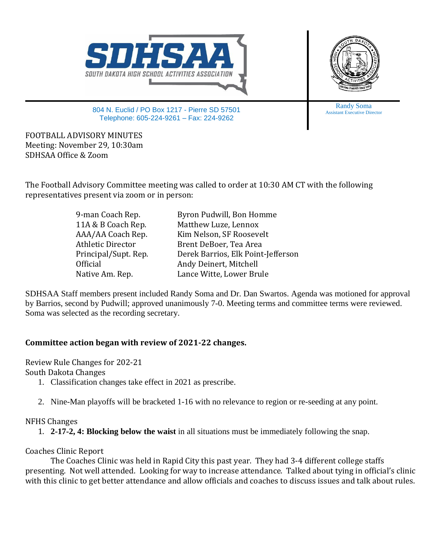



804 N. Euclid / PO Box 1217 - Pierre SD 57501 Telephone: 605-224-9261 – Fax: 224-9262

Randy Soma Assistant Executive Director

FOOTBALL ADVISORY MINUTES Meeting: November 29, 10:30am SDHSAA Office & Zoom

The Football Advisory Committee meeting was called to order at 10:30 AM CT with the following representatives present via zoom or in person:

| 9-man Coach Rep.         | Byron Pudwill, Bon Homme           |
|--------------------------|------------------------------------|
| 11A & B Coach Rep.       | Matthew Luze, Lennox               |
| AAA/AA Coach Rep.        | Kim Nelson, SF Roosevelt           |
| <b>Athletic Director</b> | Brent DeBoer, Tea Area             |
| Principal/Supt. Rep.     | Derek Barrios, Elk Point-Jefferson |
| Official                 | Andy Deinert, Mitchell             |
| Native Am. Rep.          | Lance Witte, Lower Brule           |

SDHSAA Staff members present included Randy Soma and Dr. Dan Swartos. Agenda was motioned for approval by Barrios, second by Pudwill; approved unanimously 7-0. Meeting terms and committee terms were reviewed. Soma was selected as the recording secretary.

## **Committee action began with review of 2021-22 changes.**

Review Rule Changes for 202-21 South Dakota Changes

- 1. Classification changes take effect in 2021 as prescribe.
- 2. Nine-Man playoffs will be bracketed 1-16 with no relevance to region or re-seeding at any point.

## NFHS Changes

1. **2-17-2, 4: Blocking below the waist** in all situations must be immediately following the snap.

## Coaches Clinic Report

The Coaches Clinic was held in Rapid City this past year. They had 3-4 different college staffs presenting. Not well attended. Looking for way to increase attendance. Talked about tying in official's clinic with this clinic to get better attendance and allow officials and coaches to discuss issues and talk about rules.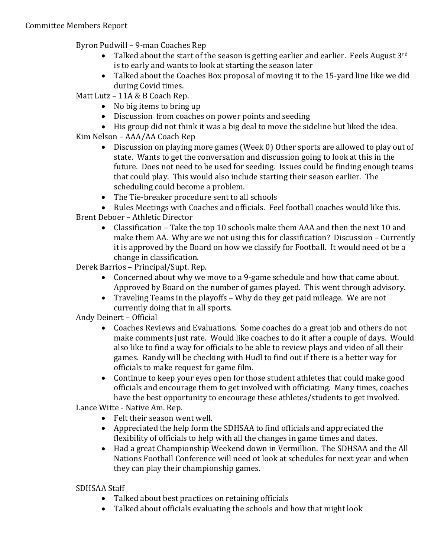Byron Pudwill – 9-man Coaches Rep

- Talked about the start of the season is getting earlier and earlier. Feels August  $3^{rd}$ is to early and wants to look at starting the season later
- Talked about the Coaches Box proposal of moving it to the 15-yard line like we did during Covid times.

Matt Lutz – 11A & B Coach Rep.

- No big items to bring up
- Discussion from coaches on power points and seeding
- His group did not think it was a big deal to move the sideline but liked the idea.
- Kim Nelson AAA/AA Coach Rep
	- Discussion on playing more games (Week 0) Other sports are allowed to play out of state. Wants to get the conversation and discussion going to look at this in the future. Does not need to be used for seeding. Issues could be finding enough teams that could play. This would also include starting their season earlier. The scheduling could become a problem.
	- The Tie-breaker procedure sent to all schools

• Rules Meetings with Coaches and officials. Feel football coaches would like this. Brent Deboer – Athletic Director

• Classification – Take the top 10 schools make them AAA and then the next 10 and make them AA. Why are we not using this for classification? Discussion – Currently it is approved by the Board on how we classify for Football. It would need ot be a change in classification.

Derek Barrios – Principal/Supt. Rep.

- Concerned about why we move to a 9-game schedule and how that came about. Approved by Board on the number of games played. This went through advisory.
- Traveling Teams in the playoffs Why do they get paid mileage. We are not currently doing that in all sports.

Andy Deinert – Official

- Coaches Reviews and Evaluations. Some coaches do a great job and others do not make comments just rate. Would like coaches to do it after a couple of days. Would also like to find a way for officials to be able to review plays and video of all their games. Randy will be checking with Hudl to find out if there is a better way for officials to make request for game film.
- Continue to keep your eyes open for those student athletes that could make good officials and encourage them to get involved with officiating. Many times, coaches have the best opportunity to encourage these athletes/students to get involved.

Lance Witte - Native Am. Rep.

- Felt their season went well.
- Appreciated the help form the SDHSAA to find officials and appreciated the flexibility of officials to help with all the changes in game times and dates.
- Had a great Championship Weekend down in Vermillion. The SDHSAA and the All Nations Football Conference will need ot look at schedules for next year and when they can play their championship games.

SDHSAA Staff

- Talked about best practices on retaining officials
- Talked about officials evaluating the schools and how that might look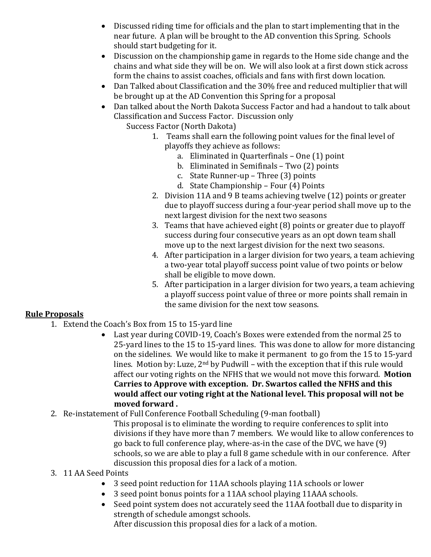- Discussed riding time for officials and the plan to start implementing that in the near future. A plan will be brought to the AD convention this Spring. Schools should start budgeting for it.
- Discussion on the championship game in regards to the Home side change and the chains and what side they will be on. We will also look at a first down stick across form the chains to assist coaches, officials and fans with first down location.
- Dan Talked about Classification and the 30% free and reduced multiplier that will be brought up at the AD Convention this Spring for a proposal
- Dan talked about the North Dakota Success Factor and had a handout to talk about Classification and Success Factor. Discussion only

Success Factor (North Dakota)

- 1. Teams shall earn the following point values for the final level of playoffs they achieve as follows:
	- a. Eliminated in Quarterfinals One (1) point
	- b. Eliminated in Semifinals Two (2) points
	- c. State Runner-up Three (3) points
	- d. State Championship Four (4) Points
- 2. Division 11A and 9 B teams achieving twelve (12) points or greater due to playoff success during a four-year period shall move up to the next largest division for the next two seasons
- 3. Teams that have achieved eight (8) points or greater due to playoff success during four consecutive years as an opt down team shall move up to the next largest division for the next two seasons.
- 4. After participation in a larger division for two years, a team achieving a two-year total playoff success point value of two points or below shall be eligible to move down.
- 5. After participation in a larger division for two years, a team achieving a playoff success point value of three or more points shall remain in the same division for the next tow seasons.

## **Rule Proposals**

- 1. Extend the Coach's Box from 15 to 15-yard line
	- Last year during COVID-19, Coach's Boxes were extended from the normal 25 to 25-yard lines to the 15 to 15-yard lines. This was done to allow for more distancing on the sidelines. We would like to make it permanent to go from the 15 to 15-yard lines. Motion by: Luze, 2nd by Pudwill – with the exception that if this rule would affect our voting rights on the NFHS that we would not move this forward. **Motion Carries to Approve with exception. Dr. Swartos called the NFHS and this would affect our voting right at the National level. This proposal will not be moved forward .**
- 2. Re-instatement of Full Conference Football Scheduling (9-man football)
	- This proposal is to eliminate the wording to require conferences to split into divisions if they have more than 7 members. We would like to allow conferences to go back to full conference play, where-as-in the case of the DVC, we have (9) schools, so we are able to play a full 8 game schedule with in our conference. After discussion this proposal dies for a lack of a motion.
- 3. 11 AA Seed Points
	- 3 seed point reduction for 11AA schools playing 11A schools or lower
	- 3 seed point bonus points for a 11AA school playing 11AAA schools.
	- Seed point system does not accurately seed the 11AA football due to disparity in strength of schedule amongst schools.

After discussion this proposal dies for a lack of a motion.